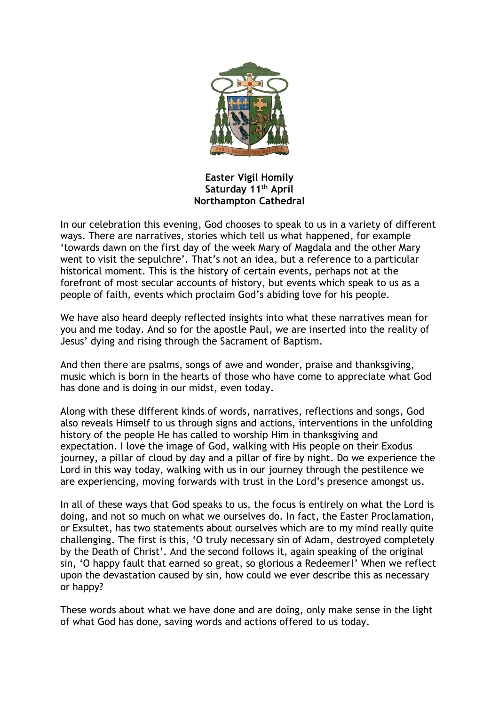

**Easter Vigil Homily Saturday 11th April Northampton Cathedral**

In our celebration this evening, God chooses to speak to us in a variety of different ways. There are narratives, stories which tell us what happened, for example 'towards dawn on the first day of the week Mary of Magdala and the other Mary went to visit the sepulchre'. That's not an idea, but a reference to a particular historical moment. This is the history of certain events, perhaps not at the forefront of most secular accounts of history, but events which speak to us as a people of faith, events which proclaim God's abiding love for his people.

We have also heard deeply reflected insights into what these narratives mean for you and me today. And so for the apostle Paul, we are inserted into the reality of Jesus' dying and rising through the Sacrament of Baptism.

And then there are psalms, songs of awe and wonder, praise and thanksgiving, music which is born in the hearts of those who have come to appreciate what God has done and is doing in our midst, even today.

Along with these different kinds of words, narratives, reflections and songs, God also reveals Himself to us through signs and actions, interventions in the unfolding history of the people He has called to worship Him in thanksgiving and expectation. I love the image of God, walking with His people on their Exodus journey, a pillar of cloud by day and a pillar of fire by night. Do we experience the Lord in this way today, walking with us in our journey through the pestilence we are experiencing, moving forwards with trust in the Lord's presence amongst us.

In all of these ways that God speaks to us, the focus is entirely on what the Lord is doing, and not so much on what we ourselves do. In fact, the Easter Proclamation, or Exsultet, has two statements about ourselves which are to my mind really quite challenging. The first is this, 'O truly necessary sin of Adam, destroyed completely by the Death of Christ'. And the second follows it, again speaking of the original sin, 'O happy fault that earned so great, so glorious a Redeemer!' When we reflect upon the devastation caused by sin, how could we ever describe this as necessary or happy?

These words about what we have done and are doing, only make sense in the light of what God has done, saving words and actions offered to us today.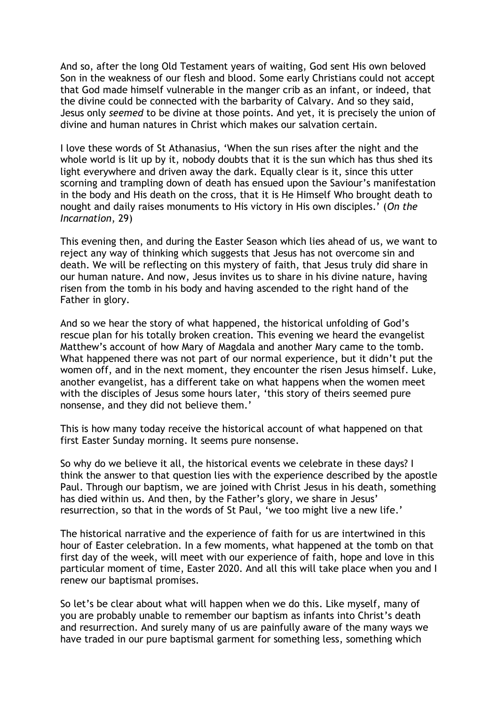And so, after the long Old Testament years of waiting, God sent His own beloved Son in the weakness of our flesh and blood. Some early Christians could not accept that God made himself vulnerable in the manger crib as an infant, or indeed, that the divine could be connected with the barbarity of Calvary. And so they said, Jesus only *seemed* to be divine at those points. And yet, it is precisely the union of divine and human natures in Christ which makes our salvation certain.

I love these words of St Athanasius, 'When the sun rises after the night and the whole world is lit up by it, nobody doubts that it is the sun which has thus shed its light everywhere and driven away the dark. Equally clear is it, since this utter scorning and trampling down of death has ensued upon the Saviour's manifestation in the body and His death on the cross, that it is He Himself Who brought death to nought and daily raises monuments to His victory in His own disciples.' (*On the Incarnation*, 29)

This evening then, and during the Easter Season which lies ahead of us, we want to reject any way of thinking which suggests that Jesus has not overcome sin and death. We will be reflecting on this mystery of faith, that Jesus truly did share in our human nature. And now, Jesus invites us to share in his divine nature, having risen from the tomb in his body and having ascended to the right hand of the Father in glory.

And so we hear the story of what happened, the historical unfolding of God's rescue plan for his totally broken creation. This evening we heard the evangelist Matthew's account of how Mary of Magdala and another Mary came to the tomb. What happened there was not part of our normal experience, but it didn't put the women off, and in the next moment, they encounter the risen Jesus himself. Luke, another evangelist, has a different take on what happens when the women meet with the disciples of Jesus some hours later, 'this story of theirs seemed pure nonsense, and they did not believe them.'

This is how many today receive the historical account of what happened on that first Easter Sunday morning. It seems pure nonsense.

So why do we believe it all, the historical events we celebrate in these days? I think the answer to that question lies with the experience described by the apostle Paul. Through our baptism, we are joined with Christ Jesus in his death, something has died within us. And then, by the Father's glory, we share in Jesus' resurrection, so that in the words of St Paul, 'we too might live a new life.'

The historical narrative and the experience of faith for us are intertwined in this hour of Easter celebration. In a few moments, what happened at the tomb on that first day of the week, will meet with our experience of faith, hope and love in this particular moment of time, Easter 2020. And all this will take place when you and I renew our baptismal promises.

So let's be clear about what will happen when we do this. Like myself, many of you are probably unable to remember our baptism as infants into Christ's death and resurrection. And surely many of us are painfully aware of the many ways we have traded in our pure baptismal garment for something less, something which